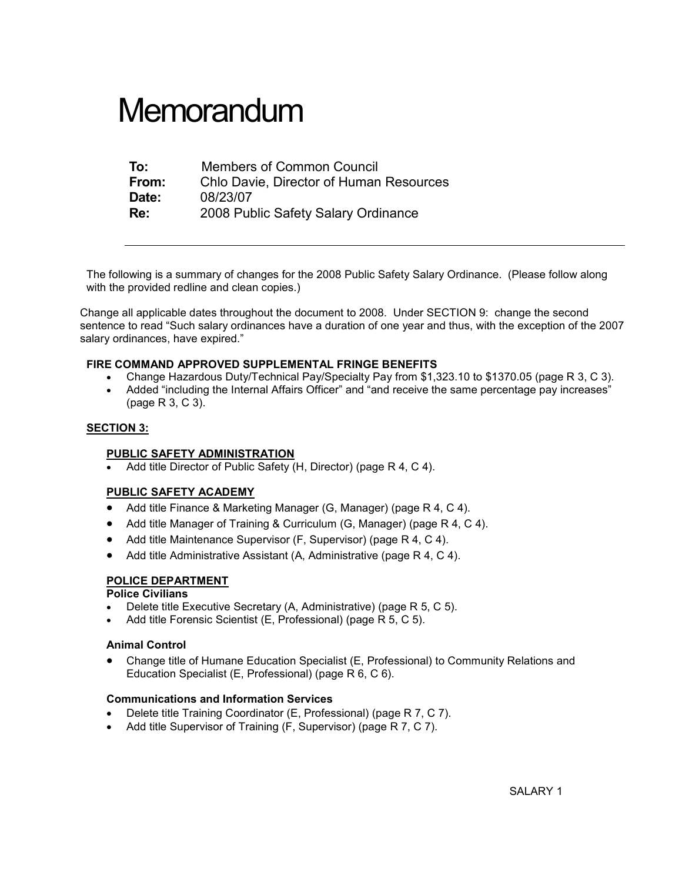# **Memorandum**

| To:   | <b>Members of Common Council</b>               |  |
|-------|------------------------------------------------|--|
| From: | <b>Chlo Davie, Director of Human Resources</b> |  |
| Date: | 08/23/07                                       |  |
| Re:   | 2008 Public Safety Salary Ordinance            |  |

The following is a summary of changes for the 2008 Public Safety Salary Ordinance. (Please follow along with the provided redline and clean copies.)

Change all applicable dates throughout the document to 2008. Under SECTION 9: change the second sentence to read "Such salary ordinances have a duration of one year and thus, with the exception of the 2007 salary ordinances, have expired."

#### FIRE COMMAND APPROVED SUPPLEMENTAL FRINGE BENEFITS

- Change Hazardous Duty/Technical Pay/Specialty Pay from \$1,323.10 to \$1370.05 (page R 3, C 3).
- Added "including the Internal Affairs Officer" and "and receive the same percentage pay increases" (page R 3, C 3).

#### SECTION 3:

#### PUBLIC SAFETY ADMINISTRATION

Add title Director of Public Safety (H, Director) (page R 4, C 4).

#### PUBLIC SAFETY ACADEMY

- Add title Finance & Marketing Manager (G, Manager) (page R 4, C 4).
- Add title Manager of Training & Curriculum (G, Manager) (page R 4, C 4).
- Add title Maintenance Supervisor (F, Supervisor) (page R 4, C 4).
- Add title Administrative Assistant (A, Administrative (page R 4, C 4).

#### POLICE DEPARTMENT

#### Police Civilians

- Delete title Executive Secretary (A, Administrative) (page R 5, C 5).
- Add title Forensic Scientist (E, Professional) (page R 5, C 5).

#### Animal Control

• Change title of Humane Education Specialist (E, Professional) to Community Relations and Education Specialist (E, Professional) (page R 6, C 6).

#### Communications and Information Services

- Delete title Training Coordinator (E, Professional) (page R 7, C 7).
- Add title Supervisor of Training (F, Supervisor) (page R 7, C 7).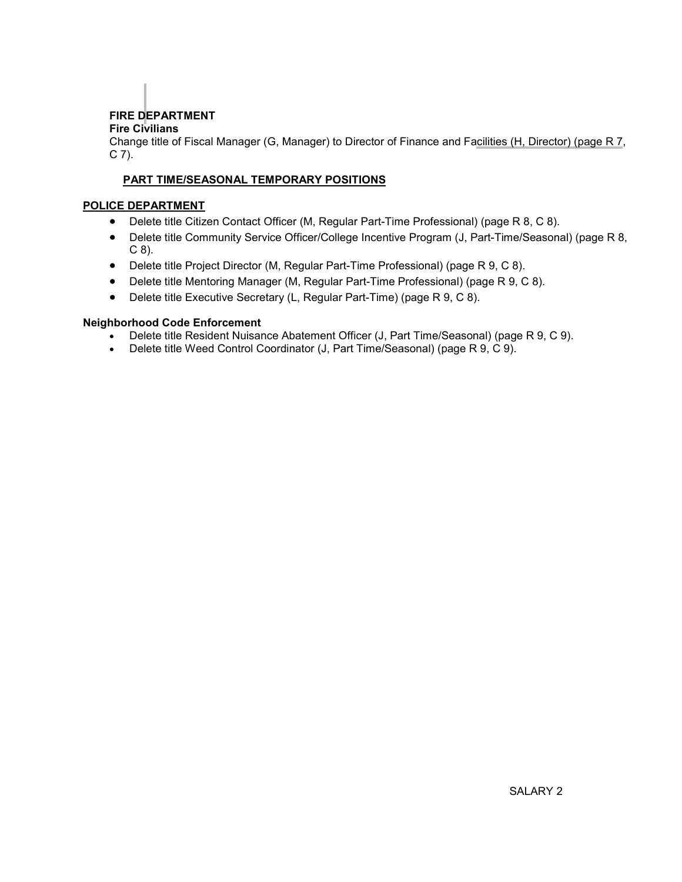# FIRE DEPARTMENT

# Fire Civilians

Change title of Fiscal Manager (G, Manager) to Director of Finance and Facilities (H, Director) (page R 7,  $C$  7).

## PART TIME/SEASONAL TEMPORARY POSITIONS

### POLICE DEPARTMENT

- Delete title Citizen Contact Officer (M, Regular Part-Time Professional) (page R 8, C 8).
- Delete title Community Service Officer/College Incentive Program (J, Part-Time/Seasonal) (page R 8, C 8).
- Delete title Project Director (M, Regular Part-Time Professional) (page R 9, C 8).
- Delete title Mentoring Manager (M, Regular Part-Time Professional) (page R 9, C 8).
- Delete title Executive Secretary (L, Regular Part-Time) (page R 9, C 8).

#### Neighborhood Code Enforcement

- Delete title Resident Nuisance Abatement Officer (J, Part Time/Seasonal) (page R 9, C 9).
- Delete title Weed Control Coordinator (J, Part Time/Seasonal) (page R 9, C 9).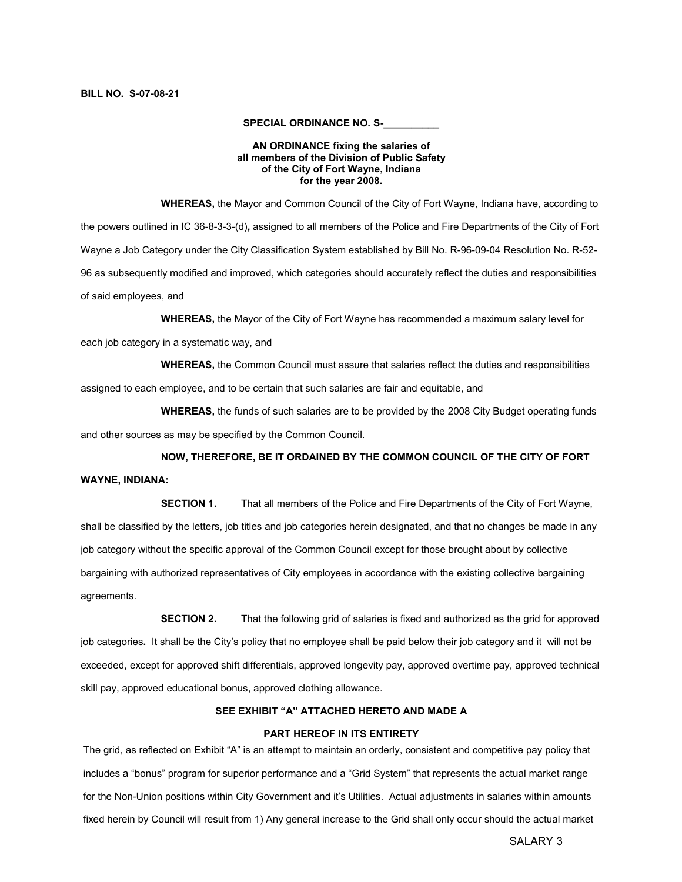#### SPECIAL ORDINANCE NO. S-

#### AN ORDINANCE fixing the salaries of all members of the Division of Public Safety of the City of Fort Wayne, Indiana for the year 2008.

 WHEREAS, the Mayor and Common Council of the City of Fort Wayne, Indiana have, according to the powers outlined in IC 36-8-3-3-(d), assigned to all members of the Police and Fire Departments of the City of Fort Wayne a Job Category under the City Classification System established by Bill No. R-96-09-04 Resolution No. R-52- 96 as subsequently modified and improved, which categories should accurately reflect the duties and responsibilities of said employees, and

WHEREAS, the Mayor of the City of Fort Wayne has recommended a maximum salary level for

each job category in a systematic way, and

WHEREAS, the Common Council must assure that salaries reflect the duties and responsibilities

assigned to each employee, and to be certain that such salaries are fair and equitable, and

 WHEREAS, the funds of such salaries are to be provided by the 2008 City Budget operating funds and other sources as may be specified by the Common Council.

#### NOW, THEREFORE, BE IT ORDAINED BY THE COMMON COUNCIL OF THE CITY OF FORT

#### WAYNE, INDIANA:

 SECTION 1. That all members of the Police and Fire Departments of the City of Fort Wayne, shall be classified by the letters, job titles and job categories herein designated, and that no changes be made in any job category without the specific approval of the Common Council except for those brought about by collective bargaining with authorized representatives of City employees in accordance with the existing collective bargaining agreements.

**SECTION 2.** That the following grid of salaries is fixed and authorized as the grid for approved job categories. It shall be the City's policy that no employee shall be paid below their job category and it will not be exceeded, except for approved shift differentials, approved longevity pay, approved overtime pay, approved technical skill pay, approved educational bonus, approved clothing allowance.

#### SEE EXHIBIT "A" ATTACHED HERETO AND MADE A

#### PART HEREOF IN ITS ENTIRETY

The grid, as reflected on Exhibit "A" is an attempt to maintain an orderly, consistent and competitive pay policy that includes a "bonus" program for superior performance and a "Grid System" that represents the actual market range for the Non-Union positions within City Government and it's Utilities. Actual adjustments in salaries within amounts fixed herein by Council will result from 1) Any general increase to the Grid shall only occur should the actual market

SALARY 3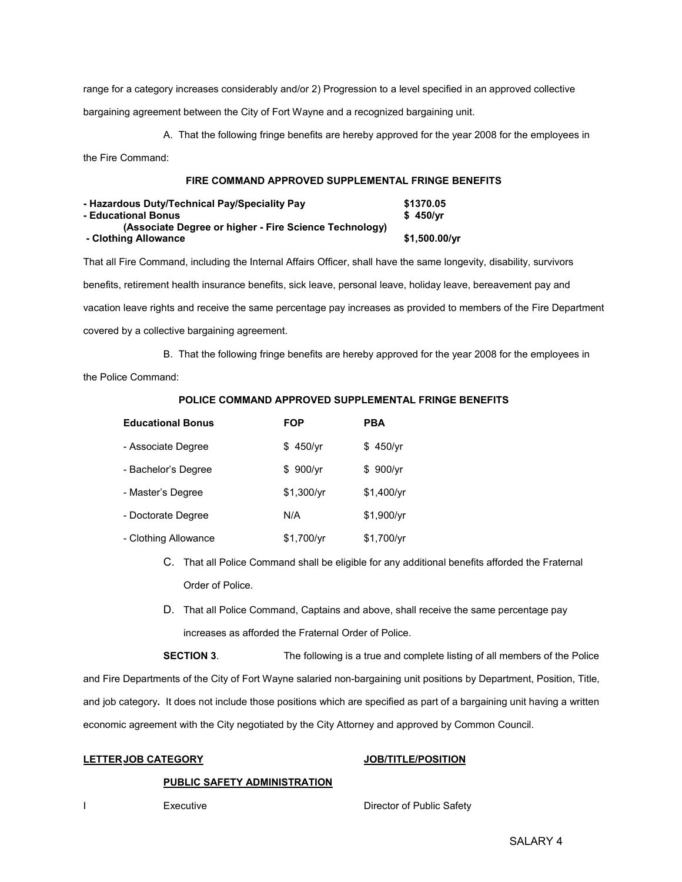range for a category increases considerably and/or 2) Progression to a level specified in an approved collective bargaining agreement between the City of Fort Wayne and a recognized bargaining unit.

A. That the following fringe benefits are hereby approved for the year 2008 for the employees in

the Fire Command:

#### FIRE COMMAND APPROVED SUPPLEMENTAL FRINGE BENEFITS

| - Hazardous Duty/Technical Pay/Speciality Pay          | \$1370.05             |
|--------------------------------------------------------|-----------------------|
| - Educational Bonus                                    | \$450/vr              |
| (Associate Degree or higher - Fire Science Technology) |                       |
| - Clothing Allowance                                   | $$1,500.00/\text{yr}$ |

That all Fire Command, including the Internal Affairs Officer, shall have the same longevity, disability, survivors benefits, retirement health insurance benefits, sick leave, personal leave, holiday leave, bereavement pay and vacation leave rights and receive the same percentage pay increases as provided to members of the Fire Department covered by a collective bargaining agreement.

B. That the following fringe benefits are hereby approved for the year 2008 for the employees in

the Police Command:

| <b>Educational Bonus</b> | <b>FOP</b> | <b>PBA</b> |
|--------------------------|------------|------------|
| - Associate Degree       | \$450/yr   | \$450/yr   |
| - Bachelor's Degree      | \$900/vr   | \$900/vr   |
| - Master's Degree        | \$1,300/yr | \$1,400/yr |
| - Doctorate Degree       | N/A        | \$1,900/yr |
| - Clothing Allowance     | \$1,700/yr | \$1,700/yr |

- C. That all Police Command shall be eligible for any additional benefits afforded the Fraternal Order of Police.
- D. That all Police Command, Captains and above, shall receive the same percentage pay increases as afforded the Fraternal Order of Police.

 SECTION 3. The following is a true and complete listing of all members of the Police and Fire Departments of the City of Fort Wayne salaried non-bargaining unit positions by Department, Position, Title, and job category. It does not include those positions which are specified as part of a bargaining unit having a written economic agreement with the City negotiated by the City Attorney and approved by Common Council.

#### LETTERJOB CATEGORY JOB/TITLE/POSITION

#### PUBLIC SAFETY ADMINISTRATION

**I** Executive **Director of Public Safety**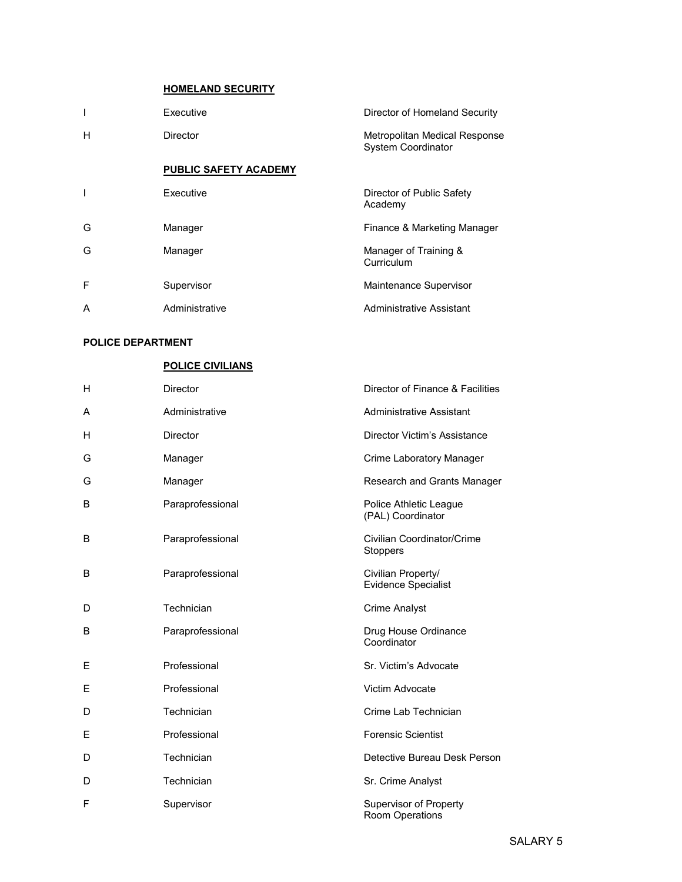#### HOMELAND SECURITY

| I | Executive                    | Director of Homeland Security                              |
|---|------------------------------|------------------------------------------------------------|
| H | Director                     | Metropolitan Medical Response<br><b>System Coordinator</b> |
|   | <b>PUBLIC SAFETY ACADEMY</b> |                                                            |
| T | Executive                    | Director of Public Safety<br>Academy                       |
| G | Manager                      | Finance & Marketing Manager                                |
| G | Manager                      | Manager of Training &<br>Curriculum                        |
| F | Supervisor                   | Maintenance Supervisor                                     |
| A | Administrative               | <b>Administrative Assistant</b>                            |

#### POLICE DEPARTMENT

#### POLICE CIVILIANS

| H | Director         | Director of Finance & Facilities                 |
|---|------------------|--------------------------------------------------|
| A | Administrative   | <b>Administrative Assistant</b>                  |
| Н | Director         | Director Victim's Assistance                     |
| G | Manager          | Crime Laboratory Manager                         |
| G | Manager          | Research and Grants Manager                      |
| B | Paraprofessional | Police Athletic League<br>(PAL) Coordinator      |
| B | Paraprofessional | Civilian Coordinator/Crime<br><b>Stoppers</b>    |
| B | Paraprofessional | Civilian Property/<br><b>Evidence Specialist</b> |
| D | Technician       | <b>Crime Analyst</b>                             |
| B | Paraprofessional | Drug House Ordinance<br>Coordinator              |
| Ε | Professional     | Sr. Victim's Advocate                            |
| Ε | Professional     | Victim Advocate                                  |
| D | Technician       | Crime Lab Technician                             |
| Е | Professional     | <b>Forensic Scientist</b>                        |
| D | Technician       | Detective Bureau Desk Person                     |
| D | Technician       | Sr. Crime Analyst                                |
| F | Supervisor       | <b>Supervisor of Property</b><br>Room Operations |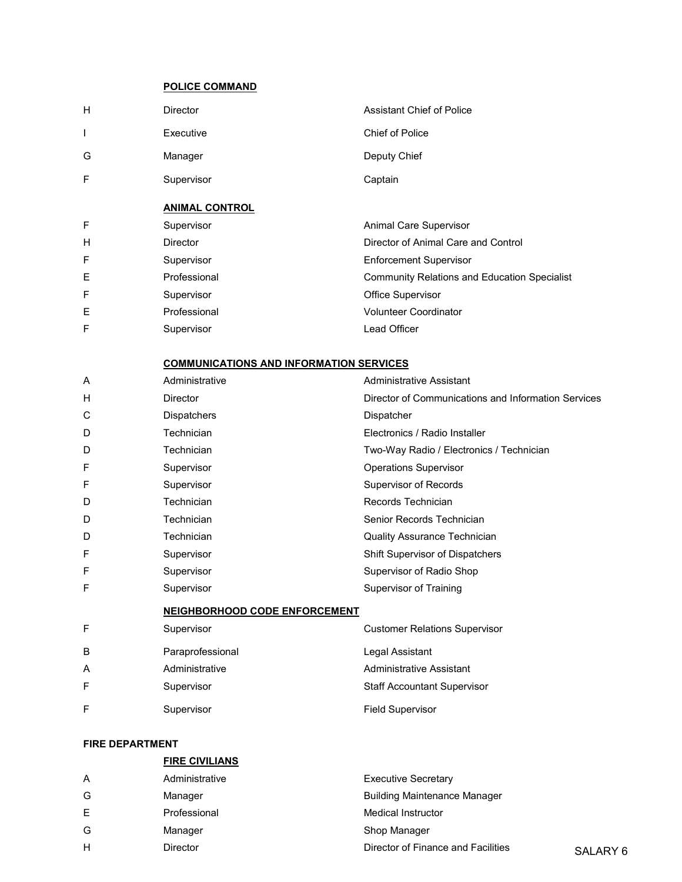### POLICE COMMAND

| H | <b>Director</b>                                | <b>Assistant Chief of Police</b>                    |
|---|------------------------------------------------|-----------------------------------------------------|
| T | Executive                                      | <b>Chief of Police</b>                              |
| G | Manager                                        | Deputy Chief                                        |
| F | Supervisor                                     | Captain                                             |
|   | <b>ANIMAL CONTROL</b>                          |                                                     |
| F | Supervisor                                     | Animal Care Supervisor                              |
| H | <b>Director</b>                                | Director of Animal Care and Control                 |
| F | Supervisor                                     | <b>Enforcement Supervisor</b>                       |
| E | Professional                                   | <b>Community Relations and Education Specialist</b> |
| F | Supervisor                                     | <b>Office Supervisor</b>                            |
| Е | Professional                                   | <b>Volunteer Coordinator</b>                        |
| F | Supervisor                                     | Lead Officer                                        |
|   | <b>COMMUNICATIONS AND INFORMATION SERVICES</b> |                                                     |
| A | Administrative                                 | Administrative Assistant                            |

| H | <b>Director</b>                      | Director of Communications and Information Services |
|---|--------------------------------------|-----------------------------------------------------|
| С | Dispatchers                          | Dispatcher                                          |
| D | Technician                           | Electronics / Radio Installer                       |
| D | Technician                           | Two-Way Radio / Electronics / Technician            |
| F | Supervisor                           | <b>Operations Supervisor</b>                        |
| F | Supervisor                           | Supervisor of Records                               |
| D | Technician                           | Records Technician                                  |
| D | Technician                           | Senior Records Technician                           |
| D | Technician                           | Quality Assurance Technician                        |
| F | Supervisor                           | Shift Supervisor of Dispatchers                     |
| F | Supervisor                           | Supervisor of Radio Shop                            |
| F | Supervisor                           | <b>Supervisor of Training</b>                       |
|   | <b>NEIGHBORHOOD CODE ENFORCEMENT</b> |                                                     |
| F | Supervisor                           | <b>Customer Relations Supervisor</b>                |
| B | Paraprofessional                     | Legal Assistant                                     |
| A | Administrative                       | <b>Administrative Assistant</b>                     |
| F | Supervisor                           | <b>Staff Accountant Supervisor</b>                  |
| F | Supervisor                           | <b>Field Supervisor</b>                             |

#### FIRE DEPARTMENT

|                | <b>FIRE CIVILIANS</b> |                                     |          |
|----------------|-----------------------|-------------------------------------|----------|
| $\overline{A}$ | Administrative        | <b>Executive Secretary</b>          |          |
| G              | Manager               | <b>Building Maintenance Manager</b> |          |
| E              | Professional          | <b>Medical Instructor</b>           |          |
| G              | Manager               | Shop Manager                        |          |
| H              | <b>Director</b>       | Director of Finance and Facilities  | SALARY 6 |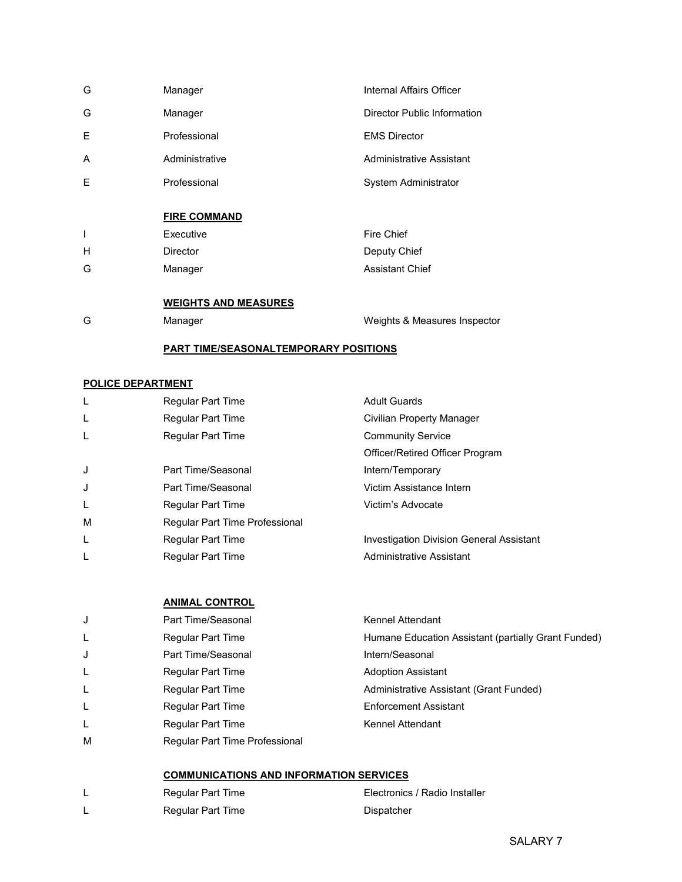| G | Manager                                      | Internal Affairs Officer        |
|---|----------------------------------------------|---------------------------------|
| G | Manager                                      | Director Public Information     |
| Е | Professional                                 | <b>EMS Director</b>             |
| A | Administrative                               | <b>Administrative Assistant</b> |
| F | Professional                                 | System Administrator            |
|   | <b>FIRE COMMAND</b>                          |                                 |
| I | Executive                                    | Fire Chief                      |
| Н | <b>Director</b>                              | Deputy Chief                    |
| G | Manager                                      | <b>Assistant Chief</b>          |
|   | <b>WEIGHTS AND MEASURES</b>                  |                                 |
| G | Manager                                      | Weights & Measures Inspector    |
|   | <b>PART TIME/SEASONALTEMPORARY POSITIONS</b> |                                 |

# POLICE DEPARTMENT

| L | <b>Regular Part Time</b>       | <b>Adult Guards</b>                             |
|---|--------------------------------|-------------------------------------------------|
| L | Regular Part Time              | Civilian Property Manager                       |
| L | Regular Part Time              | <b>Community Service</b>                        |
|   |                                | Officer/Retired Officer Program                 |
| J | Part Time/Seasonal             | Intern/Temporary                                |
| J | Part Time/Seasonal             | Victim Assistance Intern                        |
| L | <b>Regular Part Time</b>       | Victim's Advocate                               |
| м | Regular Part Time Professional |                                                 |
| L | Regular Part Time              | <b>Investigation Division General Assistant</b> |
| L | Regular Part Time              | Administrative Assistant                        |
|   |                                |                                                 |

#### ANIMAL CONTROL

| J | Part Time/Seasonal             | Kennel Attendant                                    |
|---|--------------------------------|-----------------------------------------------------|
| L | <b>Regular Part Time</b>       | Humane Education Assistant (partially Grant Funded) |
| J | Part Time/Seasonal             | Intern/Seasonal                                     |
| L | <b>Regular Part Time</b>       | <b>Adoption Assistant</b>                           |
| L | <b>Regular Part Time</b>       | Administrative Assistant (Grant Funded)             |
| L | <b>Regular Part Time</b>       | <b>Enforcement Assistant</b>                        |
| L | <b>Regular Part Time</b>       | Kennel Attendant                                    |
| M | Regular Part Time Professional |                                                     |
|   |                                |                                                     |

# COMMUNICATIONS AND INFORMATION SERVICES

| Regular Part Time | Electronics / Radio Installer |
|-------------------|-------------------------------|
| Regular Part Time | Dispatcher                    |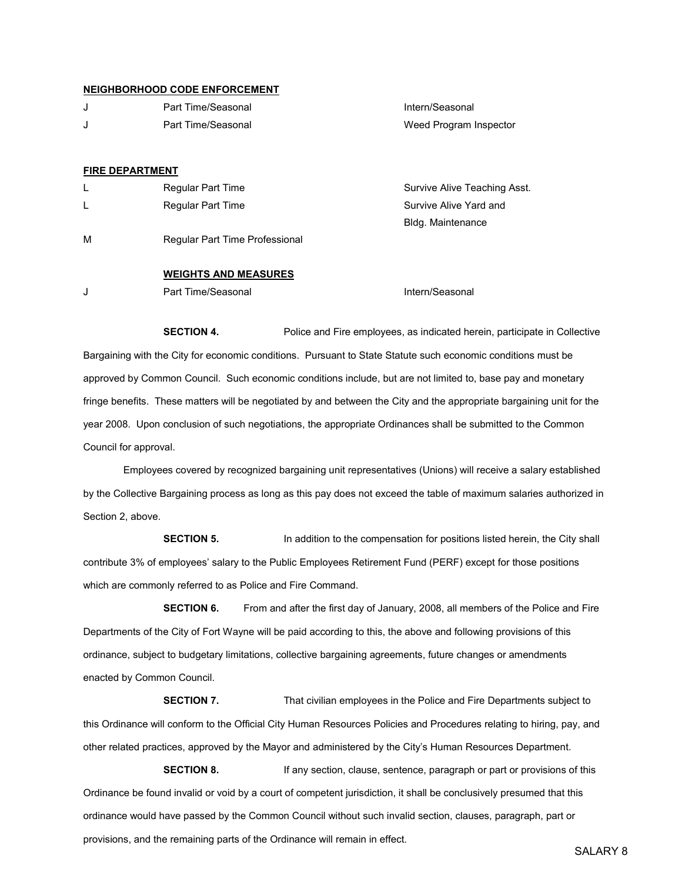#### NEIGHBORHOOD CODE ENFORCEMENT

J Part Time/Seasonal **Intern/Seasonal** Intern/Seasonal J Part Time/Seasonal Weed Program Inspector

#### FIRE DEPARTMENT

|   | <b>Regular Part Time</b>       | Survive Alive Teaching Asst. |
|---|--------------------------------|------------------------------|
| L | Regular Part Time              | Survive Alive Yard and       |
|   |                                | Bldg. Maintenance            |
| м | Regular Part Time Professional |                              |

#### WEIGHTS AND MEASURES

J Part Time/Seasonal **Internal Intern/Seasonal** Intern/Seasonal

**SECTION 4.** Police and Fire employees, as indicated herein, participate in Collective Bargaining with the City for economic conditions. Pursuant to State Statute such economic conditions must be approved by Common Council. Such economic conditions include, but are not limited to, base pay and monetary fringe benefits. These matters will be negotiated by and between the City and the appropriate bargaining unit for the year 2008. Upon conclusion of such negotiations, the appropriate Ordinances shall be submitted to the Common Council for approval.

 Employees covered by recognized bargaining unit representatives (Unions) will receive a salary established by the Collective Bargaining process as long as this pay does not exceed the table of maximum salaries authorized in Section 2, above.

SECTION 5. In addition to the compensation for positions listed herein, the City shall contribute 3% of employees' salary to the Public Employees Retirement Fund (PERF) except for those positions which are commonly referred to as Police and Fire Command.

**SECTION 6.** From and after the first day of January, 2008, all members of the Police and Fire Departments of the City of Fort Wayne will be paid according to this, the above and following provisions of this ordinance, subject to budgetary limitations, collective bargaining agreements, future changes or amendments enacted by Common Council.

**SECTION 7.** That civilian employees in the Police and Fire Departments subject to this Ordinance will conform to the Official City Human Resources Policies and Procedures relating to hiring, pay, and other related practices, approved by the Mayor and administered by the City's Human Resources Department.

**SECTION 8.** If any section, clause, sentence, paragraph or part or provisions of this Ordinance be found invalid or void by a court of competent jurisdiction, it shall be conclusively presumed that this ordinance would have passed by the Common Council without such invalid section, clauses, paragraph, part or provisions, and the remaining parts of the Ordinance will remain in effect.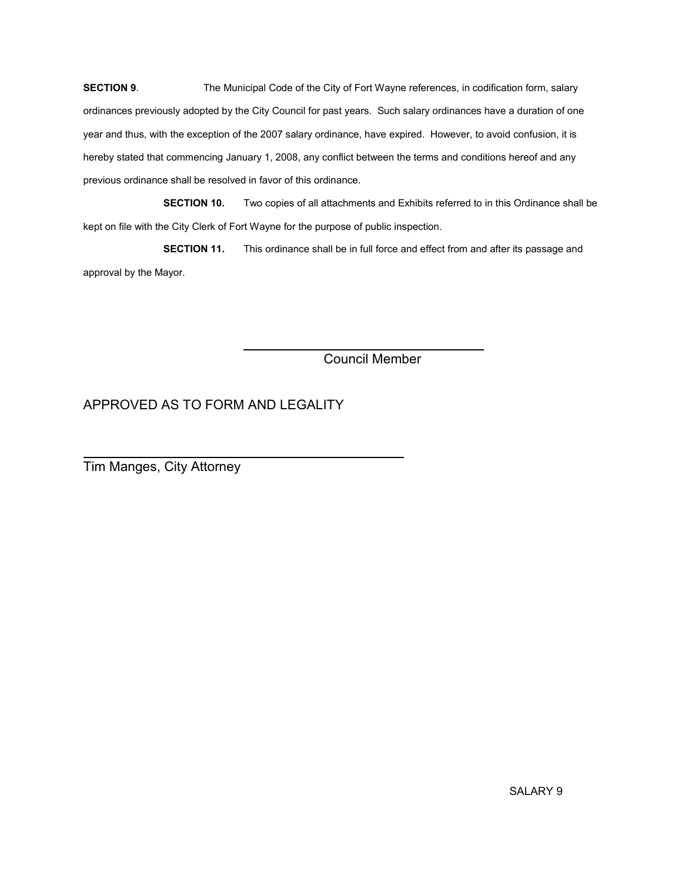SECTION 9. The Municipal Code of the City of Fort Wayne references, in codification form, salary ordinances previously adopted by the City Council for past years. Such salary ordinances have a duration of one year and thus, with the exception of the 2007 salary ordinance, have expired. However, to avoid confusion, it is hereby stated that commencing January 1, 2008, any conflict between the terms and conditions hereof and any previous ordinance shall be resolved in favor of this ordinance.

SECTION 10. Two copies of all attachments and Exhibits referred to in this Ordinance shall be kept on file with the City Clerk of Fort Wayne for the purpose of public inspection.

 SECTION 11. This ordinance shall be in full force and effect from and after its passage and approval by the Mayor.

Council Member

# APPROVED AS TO FORM AND LEGALITY

 $\overline{a}$ Tim Manges, City Attorney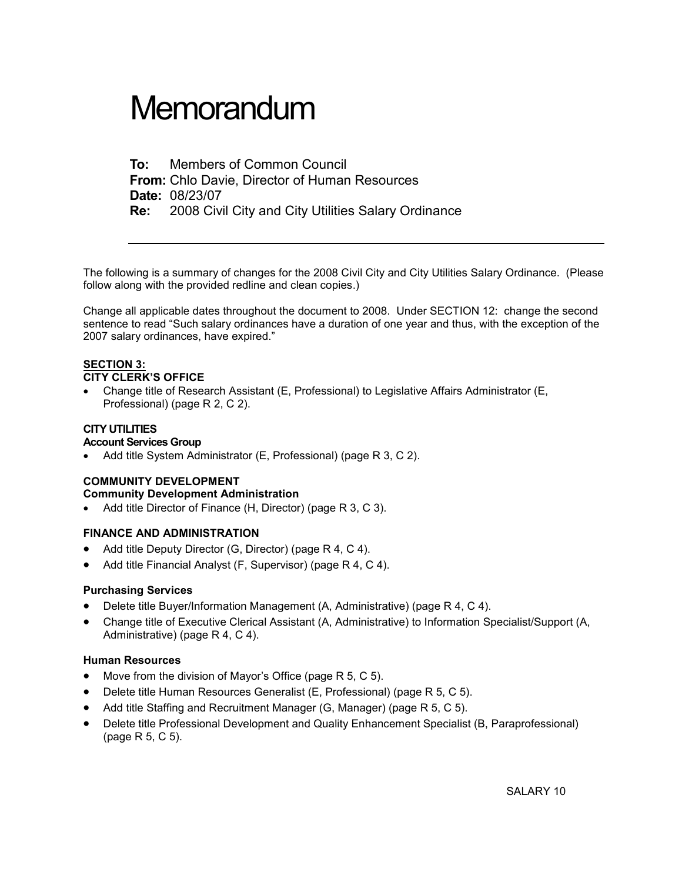# **Memorandum**

To: Members of Common Council From: Chlo Davie, Director of Human Resources Date: 08/23/07 Re: 2008 Civil City and City Utilities Salary Ordinance

The following is a summary of changes for the 2008 Civil City and City Utilities Salary Ordinance. (Please follow along with the provided redline and clean copies.)

Change all applicable dates throughout the document to 2008. Under SECTION 12: change the second sentence to read "Such salary ordinances have a duration of one year and thus, with the exception of the 2007 salary ordinances, have expired."

#### SECTION 3:

#### CITY CLERK'S OFFICE

• Change title of Research Assistant (E, Professional) to Legislative Affairs Administrator (E, Professional) (page R 2, C 2).

#### CITY UTILITIES

#### Account Services Group

• Add title System Administrator (E, Professional) (page R 3, C 2).

#### COMMUNITY DEVELOPMENT Community Development Administration

• Add title Director of Finance (H, Director) (page R 3, C 3).

### FINANCE AND ADMINISTRATION

- Add title Deputy Director (G, Director) (page R 4, C 4).
- Add title Financial Analyst (F, Supervisor) (page R 4, C 4).

#### Purchasing Services

- Delete title Buyer/Information Management (A, Administrative) (page R 4, C 4).
- Change title of Executive Clerical Assistant (A, Administrative) to Information Specialist/Support (A, Administrative) (page R 4, C 4).

#### Human Resources

- Move from the division of Mayor's Office (page R 5, C 5).
- Delete title Human Resources Generalist (E, Professional) (page R 5, C 5).
- Add title Staffing and Recruitment Manager (G, Manager) (page R 5, C 5).
- Delete title Professional Development and Quality Enhancement Specialist (B, Paraprofessional) (page R 5, C 5).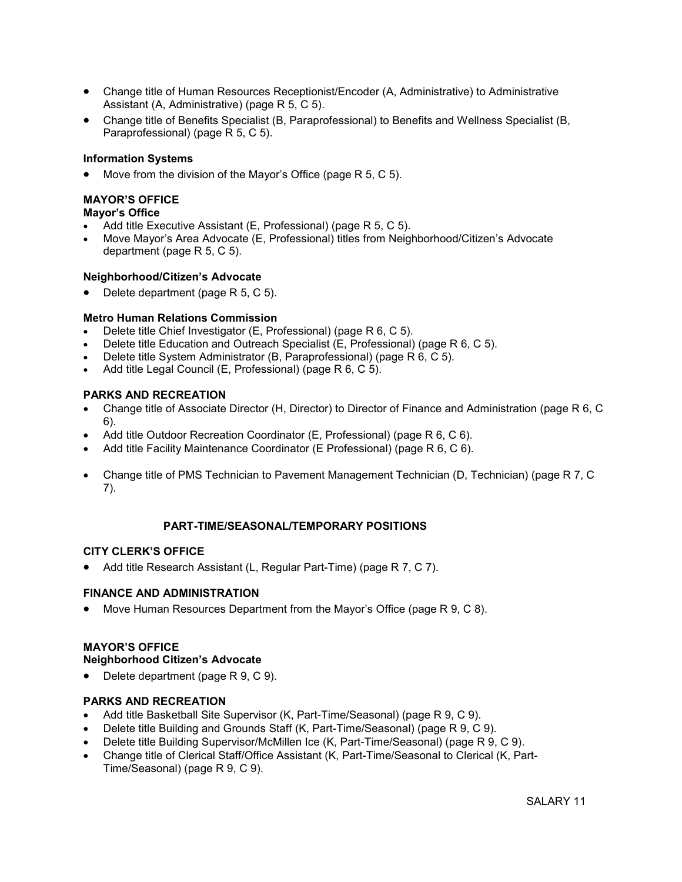- Change title of Human Resources Receptionist/Encoder (A, Administrative) to Administrative Assistant (A, Administrative) (page R 5, C 5).
- Change title of Benefits Specialist (B, Paraprofessional) to Benefits and Wellness Specialist (B, Paraprofessional) (page R 5, C 5).

#### Information Systems

Move from the division of the Mayor's Office (page R 5, C 5).

# MAYOR'S OFFICE

#### Mayor's Office

- Add title Executive Assistant (E, Professional) (page R 5, C 5).
- Move Mayor's Area Advocate (E, Professional) titles from Neighborhood/Citizen's Advocate department (page R 5, C 5).

#### Neighborhood/Citizen's Advocate

• Delete department (page R 5, C 5).

#### Metro Human Relations Commission

- Delete title Chief Investigator (E, Professional) (page R 6, C 5).
- Delete title Education and Outreach Specialist (E, Professional) (page R 6, C 5).
- Delete title System Administrator (B, Paraprofessional) (page R 6, C 5).
- Add title Legal Council (E, Professional) (page R 6, C 5).

#### PARKS AND RECREATION

- Change title of Associate Director (H, Director) to Director of Finance and Administration (page R 6, C 6).
- Add title Outdoor Recreation Coordinator (E, Professional) (page R 6, C 6).
- Add title Facility Maintenance Coordinator (E Professional) (page R 6, C 6).
- Change title of PMS Technician to Pavement Management Technician (D, Technician) (page R 7, C 7).

#### PART-TIME/SEASONAL/TEMPORARY POSITIONS

#### CITY CLERK'S OFFICE

• Add title Research Assistant (L, Regular Part-Time) (page R 7, C 7).

#### FINANCE AND ADMINISTRATION

• Move Human Resources Department from the Mayor's Office (page R 9, C 8).

#### MAYOR'S OFFICE

#### Neighborhood Citizen's Advocate

• Delete department (page R 9, C 9).

#### PARKS AND RECREATION

- Add title Basketball Site Supervisor (K, Part-Time/Seasonal) (page R 9, C 9).
- Delete title Building and Grounds Staff (K, Part-Time/Seasonal) (page R 9, C 9).
- Delete title Building Supervisor/McMillen Ice (K, Part-Time/Seasonal) (page R 9, C 9).
- Change title of Clerical Staff/Office Assistant (K, Part-Time/Seasonal to Clerical (K, Part-Time/Seasonal) (page R 9, C 9).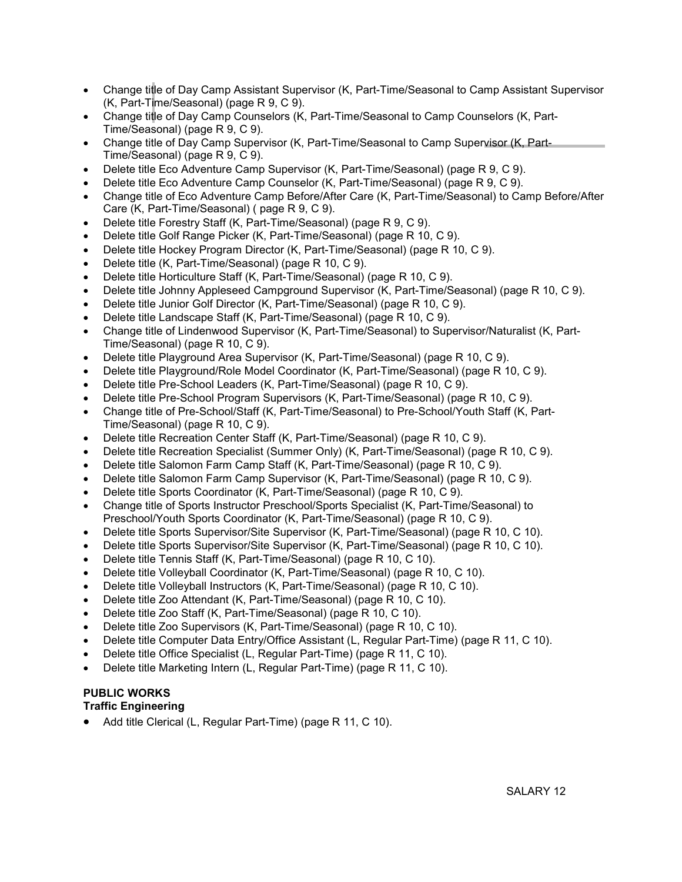- Change title of Day Camp Assistant Supervisor (K, Part-Time/Seasonal to Camp Assistant Supervisor (K, Part-Time/Seasonal) (page R 9, C 9).
- Change title of Day Camp Counselors (K, Part-Time/Seasonal to Camp Counselors (K, Part-Time/Seasonal) (page R 9, C 9).
- Change title of Day Camp Supervisor (K, Part-Time/Seasonal to Camp Supervisor (K, Part-Time/Seasonal) (page R 9, C 9).
- Delete title Eco Adventure Camp Supervisor (K, Part-Time/Seasonal) (page R 9, C 9).
- Delete title Eco Adventure Camp Counselor (K, Part-Time/Seasonal) (page R 9, C 9).
- Change title of Eco Adventure Camp Before/After Care (K, Part-Time/Seasonal) to Camp Before/After Care (K, Part-Time/Seasonal) ( page R 9, C 9).
- Delete title Forestry Staff (K, Part-Time/Seasonal) (page R 9, C 9).
- Delete title Golf Range Picker (K, Part-Time/Seasonal) (page R 10, C 9).
- Delete title Hockey Program Director (K, Part-Time/Seasonal) (page R 10, C 9).
- Delete title (K, Part-Time/Seasonal) (page R 10, C 9).
- Delete title Horticulture Staff (K, Part-Time/Seasonal) (page R 10, C 9).
- Delete title Johnny Appleseed Campground Supervisor (K, Part-Time/Seasonal) (page R 10, C 9).
- Delete title Junior Golf Director (K, Part-Time/Seasonal) (page R 10, C 9).
- Delete title Landscape Staff (K, Part-Time/Seasonal) (page R 10, C 9).
- Change title of Lindenwood Supervisor (K, Part-Time/Seasonal) to Supervisor/Naturalist (K, Part-Time/Seasonal) (page R 10, C 9).
- Delete title Playground Area Supervisor (K, Part-Time/Seasonal) (page R 10, C 9).
- Delete title Playground/Role Model Coordinator (K, Part-Time/Seasonal) (page R 10, C 9).
- Delete title Pre-School Leaders (K, Part-Time/Seasonal) (page R 10, C 9).
- Delete title Pre-School Program Supervisors (K, Part-Time/Seasonal) (page R 10, C 9).
- Change title of Pre-School/Staff (K, Part-Time/Seasonal) to Pre-School/Youth Staff (K, Part-Time/Seasonal) (page R 10, C 9).
- Delete title Recreation Center Staff (K, Part-Time/Seasonal) (page R 10, C 9).
- Delete title Recreation Specialist (Summer Only) (K, Part-Time/Seasonal) (page R 10, C 9).
- Delete title Salomon Farm Camp Staff (K, Part-Time/Seasonal) (page R 10, C 9).
- Delete title Salomon Farm Camp Supervisor (K, Part-Time/Seasonal) (page R 10, C 9).
- Delete title Sports Coordinator (K, Part-Time/Seasonal) (page R 10, C 9).
- Change title of Sports Instructor Preschool/Sports Specialist (K, Part-Time/Seasonal) to Preschool/Youth Sports Coordinator (K, Part-Time/Seasonal) (page R 10, C 9).
- Delete title Sports Supervisor/Site Supervisor (K, Part-Time/Seasonal) (page R 10, C 10).
- Delete title Sports Supervisor/Site Supervisor (K, Part-Time/Seasonal) (page R 10, C 10).
- Delete title Tennis Staff (K, Part-Time/Seasonal) (page R 10, C 10).
- Delete title Volleyball Coordinator (K, Part-Time/Seasonal) (page R 10, C 10).
- Delete title Volleyball Instructors (K, Part-Time/Seasonal) (page R 10, C 10).
- Delete title Zoo Attendant (K, Part-Time/Seasonal) (page R 10, C 10).
- Delete title Zoo Staff (K, Part-Time/Seasonal) (page R 10, C 10).
- Delete title Zoo Supervisors (K, Part-Time/Seasonal) (page R 10, C 10).
- Delete title Computer Data Entry/Office Assistant (L, Regular Part-Time) (page R 11, C 10).
- Delete title Office Specialist (L, Regular Part-Time) (page R 11, C 10).
- Delete title Marketing Intern (L, Regular Part-Time) (page R 11, C 10).

## PUBLIC WORKS

#### Traffic Engineering

• Add title Clerical (L, Regular Part-Time) (page R 11, C 10).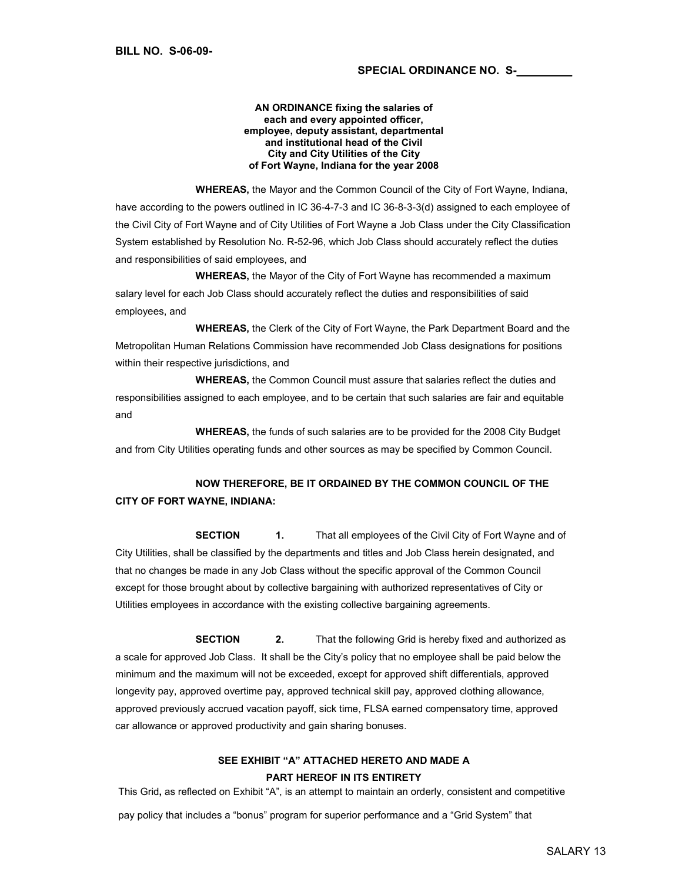#### AN ORDINANCE fixing the salaries of each and every appointed officer, employee, deputy assistant, departmental and institutional head of the Civil City and City Utilities of the City of Fort Wayne, Indiana for the year 2008

 WHEREAS, the Mayor and the Common Council of the City of Fort Wayne, Indiana, have according to the powers outlined in IC 36-4-7-3 and IC 36-8-3-3(d) assigned to each employee of the Civil City of Fort Wayne and of City Utilities of Fort Wayne a Job Class under the City Classification System established by Resolution No. R-52-96, which Job Class should accurately reflect the duties and responsibilities of said employees, and

 WHEREAS, the Mayor of the City of Fort Wayne has recommended a maximum salary level for each Job Class should accurately reflect the duties and responsibilities of said employees, and

 WHEREAS, the Clerk of the City of Fort Wayne, the Park Department Board and the Metropolitan Human Relations Commission have recommended Job Class designations for positions within their respective jurisdictions, and

 WHEREAS, the Common Council must assure that salaries reflect the duties and responsibilities assigned to each employee, and to be certain that such salaries are fair and equitable and

 WHEREAS, the funds of such salaries are to be provided for the 2008 City Budget and from City Utilities operating funds and other sources as may be specified by Common Council.

# NOW THEREFORE, BE IT ORDAINED BY THE COMMON COUNCIL OF THE CITY OF FORT WAYNE, INDIANA:

**SECTION** 1. That all employees of the Civil City of Fort Wayne and of City Utilities, shall be classified by the departments and titles and Job Class herein designated, and that no changes be made in any Job Class without the specific approval of the Common Council except for those brought about by collective bargaining with authorized representatives of City or Utilities employees in accordance with the existing collective bargaining agreements.

**SECTION** 2. That the following Grid is hereby fixed and authorized as a scale for approved Job Class. It shall be the City's policy that no employee shall be paid below the minimum and the maximum will not be exceeded, except for approved shift differentials, approved longevity pay, approved overtime pay, approved technical skill pay, approved clothing allowance, approved previously accrued vacation payoff, sick time, FLSA earned compensatory time, approved car allowance or approved productivity and gain sharing bonuses.

### SEE EXHIBIT "A" ATTACHED HERETO AND MADE A PART HEREOF IN ITS ENTIRETY

This Grid, as reflected on Exhibit "A", is an attempt to maintain an orderly, consistent and competitive pay policy that includes a "bonus" program for superior performance and a "Grid System" that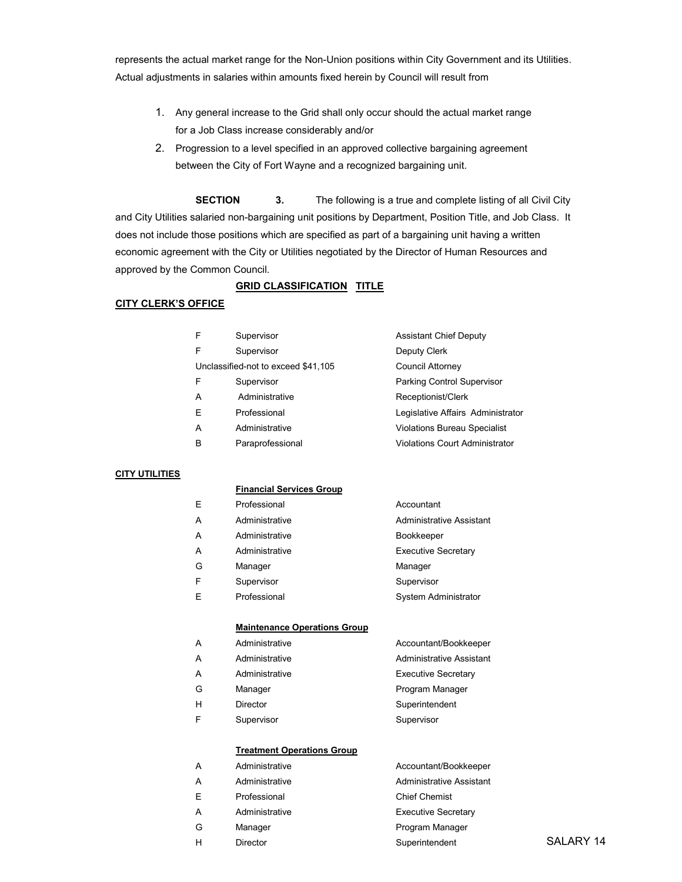represents the actual market range for the Non-Union positions within City Government and its Utilities. Actual adjustments in salaries within amounts fixed herein by Council will result from

- 1. Any general increase to the Grid shall only occur should the actual market range for a Job Class increase considerably and/or
- 2. Progression to a level specified in an approved collective bargaining agreement between the City of Fort Wayne and a recognized bargaining unit.

SECTION 3. The following is a true and complete listing of all Civil City and City Utilities salaried non-bargaining unit positions by Department, Position Title, and Job Class. It does not include those positions which are specified as part of a bargaining unit having a written economic agreement with the City or Utilities negotiated by the Director of Human Resources and approved by the Common Council.

#### **GRID CLASSIFICATION TITLE**

#### CITY CLERK'S OFFICE

| F | Supervisor                          | <b>Assistant Chief Deputy</b>         |
|---|-------------------------------------|---------------------------------------|
| F | Supervisor                          | Deputy Clerk                          |
|   | Unclassified-not to exceed \$41,105 | Council Attorney                      |
| F | Supervisor                          | Parking Control Supervisor            |
| A | Administrative                      | Receptionist/Clerk                    |
| E | Professional                        | Legislative Affairs Administrator     |
| A | Administrative                      | <b>Violations Bureau Specialist</b>   |
| B | Paraprofessional                    | <b>Violations Court Administrator</b> |
|   |                                     |                                       |

#### CITY UTILITIES

#### Financial Services Group

| E | Professional   | Accountant                  |
|---|----------------|-----------------------------|
| А | Administrative | Administrative Assistant    |
| А | Administrative | Bookkeeper                  |
| Α | Administrative | <b>Executive Secretary</b>  |
| G | Manager        | Manager                     |
| F | Supervisor     | Supervisor                  |
| Е | Professional   | <b>System Administrator</b> |
|   |                |                             |

#### Maintenance Operations Group

| А | Administrative | Accountant/Bookkeeper           |
|---|----------------|---------------------------------|
| А | Administrative | <b>Administrative Assistant</b> |
| A | Administrative | <b>Executive Secretary</b>      |
| G | Manager        | Program Manager                 |
| н | Director       | Superintendent                  |
| F | Supervisor     | Supervisor                      |
|   |                |                                 |

#### Treatment Operations Group

| Α | Administrative | Accountant/Bookkeeper      |           |
|---|----------------|----------------------------|-----------|
| A | Administrative | Administrative Assistant   |           |
| E | Professional   | <b>Chief Chemist</b>       |           |
| А | Administrative | <b>Executive Secretary</b> |           |
| G | Manager        | Program Manager            |           |
| н | Director       | Superintendent             | SALARY 14 |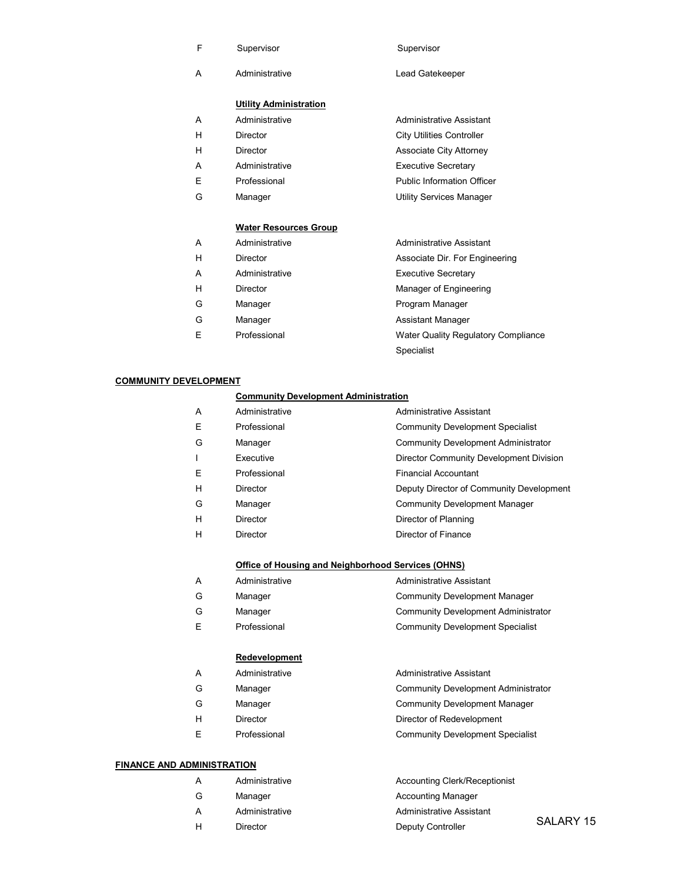|  | Supervisor | Supervisor |
|--|------------|------------|
|--|------------|------------|

- 
- A Administrative Lead Gatekeeper

#### Utility Administration

| А | Administrative | Administrative Assistant          |
|---|----------------|-----------------------------------|
| н | Director       | <b>City Utilities Controller</b>  |
| н | Director       | <b>Associate City Attorney</b>    |
| А | Administrative | <b>Executive Secretary</b>        |
| F | Professional   | <b>Public Information Officer</b> |
| G | Manager        | <b>Utility Services Manager</b>   |

#### Water Resources Group

| Administrative | Administrative Assistant       |
|----------------|--------------------------------|
| Director       | Associate Dir. For Engineering |

- A Administrative **Administrative Executive Secretary**
- 
- 
- 
- 
- 

H Director **Manager of Engineering** G Manager **Manager** Program Manager

- G Manager **Assistant Manager** Assistant Manager
- E Professional Water Quality Regulatory Compliance Specialist

#### COMMUNITY DEVELOPMENT

#### Community Development Administration

| A | Administrative  | Administrative Assistant                   |
|---|-----------------|--------------------------------------------|
| Ε | Professional    | <b>Community Development Specialist</b>    |
| G | Manager         | <b>Community Development Administrator</b> |
|   | Executive       | Director Community Development Division    |
| Ε | Professional    | <b>Financial Accountant</b>                |
| н | <b>Director</b> | Deputy Director of Community Development   |
| G | Manager         | <b>Community Development Manager</b>       |
| н | <b>Director</b> | Director of Planning                       |
| н | <b>Director</b> | Director of Finance                        |

#### Office of Housing and Neighborhood Services (OHNS)

| Administrative | Administrative Assistant                   |
|----------------|--------------------------------------------|
| Manager        | Community Development Manager              |
| Manager        | <b>Community Development Administrator</b> |

E Professional Community Development Specialist

#### **Redevelopment**

| Administrative | Administrative Assistant                   |
|----------------|--------------------------------------------|
| Manager        | <b>Community Development Administrator</b> |

- G Manager Community Development Manager
- H Director Director Director of Redevelopment
- E Professional Community Development Specialist

#### FINANCE AND ADMINISTRATION

| А | Administrative | Accounting Clerk/Receptionist |           |
|---|----------------|-------------------------------|-----------|
| G | Manager        | <b>Accounting Manager</b>     |           |
| A | Administrative | Administrative Assistant      |           |
| н | Director       | Deputy Controller             | SALARY 15 |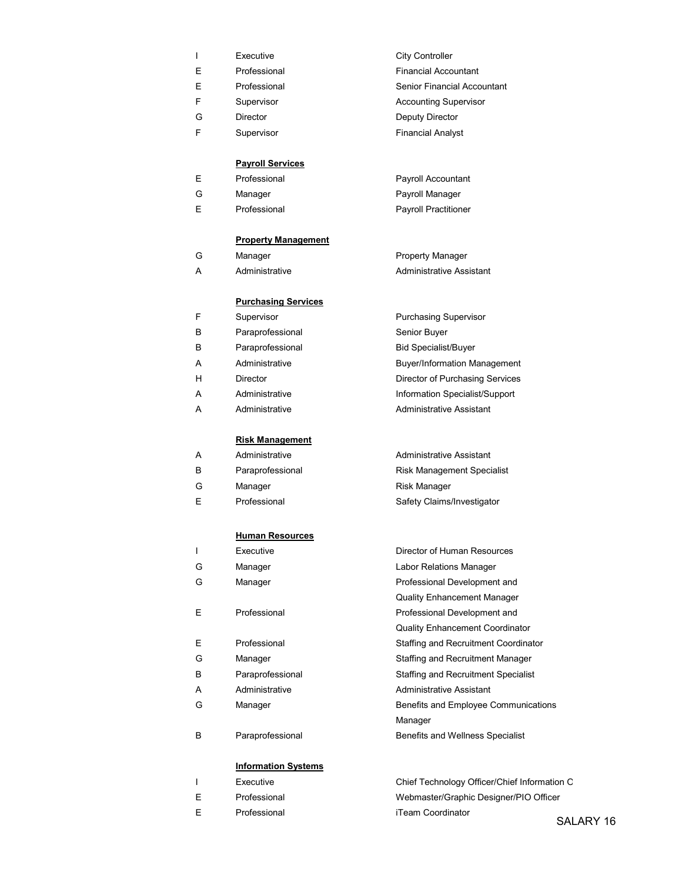|    | Executive    | <b>City Controller</b>             |
|----|--------------|------------------------------------|
| E. | Professional | <b>Financial Accountant</b>        |
| Е  | Professional | <b>Senior Financial Accountant</b> |
| F. | Supervisor   | <b>Accounting Supervisor</b>       |
| G  | Director     | Deputy Director                    |
| F  | Supervisor   | <b>Financial Analyst</b>           |
|    |              |                                    |

#### Payroll Services

|  | Professional | Payroll Accountant          |
|--|--------------|-----------------------------|
|  | Manager      | Payroll Manager             |
|  | Professional | <b>Payroll Practitioner</b> |

#### Property Management

- 
- 

#### Purchasing Services

- F Supervisor **Purchasing Supervisor** B Paraprofessional Senior Buyer
- B Paraprofessional Bid Specialist/Buyer
- 
- 
- 
- A Administrative Administrative Assistant

#### Risk Management

- A Administrative Administrative Assistant
- 
- G Manager **Risk Manager** Risk Manager
- 

#### Human Resources

- 
- 
- 
- 
- 
- 
- 
- 
- 
- B Paraprofessional Benefits and Wellness Specialist

#### Information Systems

- 
- E Professional Webmaster/Graphic Designer/PIO Officer E Professional iTeam Coordinator
- 

# G Manager **Property Manager** Property Manager

A Administrative Administrative Assistant

A Administrative **Buyer/Information Management** H Director Director of Purchasing Services A Administrative **Administrative Information Specialist/Support** 

B Paraprofessional Risk Management Specialist E Professional Safety Claims/Investigator

I Executive Executive **Director of Human Resources**  G Manager Labor Relations Manager G Manager **Professional Development and** Quality Enhancement Manager E Professional Professional Development and Quality Enhancement Coordinator E Professional Staffing and Recruitment Coordinator G Manager **Manager** Staffing and Recruitment Manager B Paraprofessional Staffing and Recruitment Specialist A Administrative Administrative Assistant G Manager **Benefits and Employee Communications** Manager

I Executive Chief Technology Officer/Chief Information C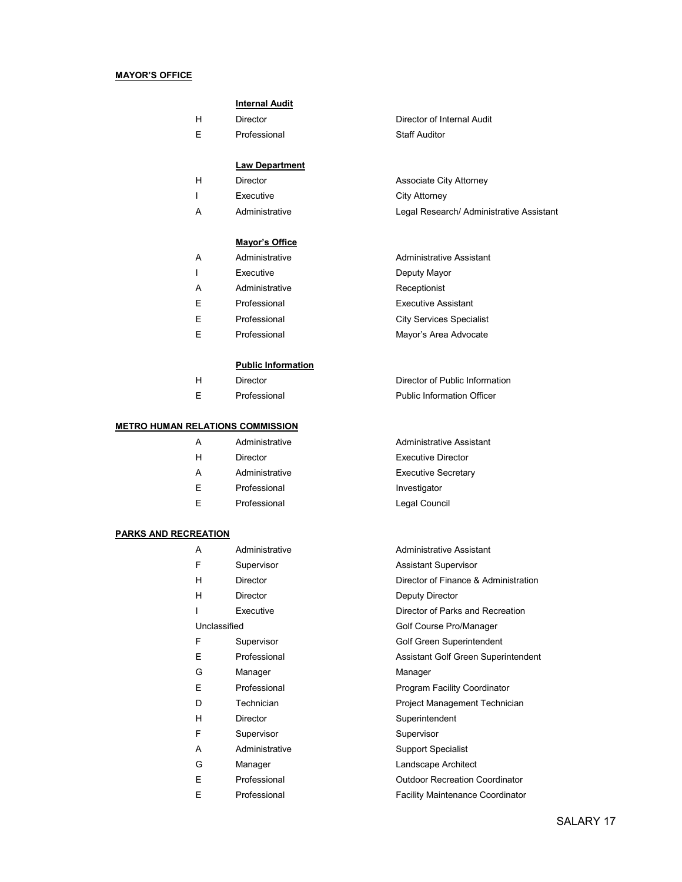#### MAYOR'S OFFICE

#### Internal Audit

E Professional Staff Auditor

#### Law Department

- H Director **Associate City Attorney**
- 
- A Administrative Legal Research/ Administrative Assistant

#### Mayor's Office

- A Administrative Administrative Assistant
- I Executive **Deputy Mayor**
- A Administrative Receptionist
- 
- 
- 

#### Public Information

- 
- 

#### METRO HUMAN RELATIONS COMMISSION

- 
- 
- A Administrative **Executive Secretary**
- E Professional **Investigator**
- E Professional **Legal Council**

#### PARKS AND RECREATION

- A Administrative Administrative Assistant F Supervisor **Assistant Supervisor**  H Director Director of Finance & Administration H Director Deputy Director I Executive Director of Parks and Recreation Unclassified Golf Course Pro/Manager F Supervisor Golf Green Superintendent E Professional **Assistant Golf Green Superintendent** G Manager **Manager** Manager E Professional Program Facility Coordinator D Technician **Project Management Technician** H Director Superintendent F Supervisor Supervisor
	-
	-
	-
	-

H Director Director of Internal Audit

# I Executive City Attorney

 E Professional Executive Assistant E Professional City Services Specialist

E Professional Mayor's Area Advocate

H Director Director of Public Information E Professional Public Information Officer

 A Administrative Administrative Assistant H Director Executive Director

- 
- 
- 
- 
- 
- A Administrative Support Specialist
- G Manager **Landscape Architect**
- E Professional Outdoor Recreation Coordinator
- E Professional Facility Maintenance Coordinator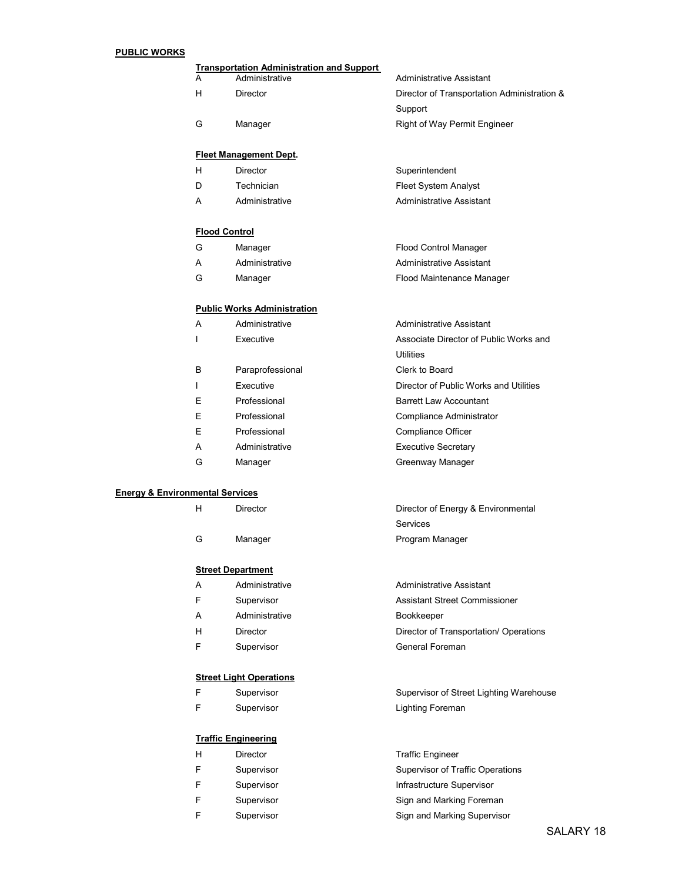#### PUBLIC WORKS

|   | <b>Transportation Administration and Support</b> |                                             |
|---|--------------------------------------------------|---------------------------------------------|
| A | Administrative                                   | Administrative Assistant                    |
| н | Director                                         | Director of Transportation Administration & |
|   |                                                  | Support                                     |
| G | Manager                                          | Right of Way Permit Engineer                |
|   |                                                  |                                             |
|   | <b>Fleet Management Dept.</b>                    |                                             |
| н | Director                                         | Superintendent                              |
| D | Technician                                       | <b>Fleet System Analyst</b>                 |
| A | Administrative                                   | Administrative Assistant                    |

#### Flood Control

| G | Manager | Flood Control Manager |
|---|---------|-----------------------|
|   |         |                       |

- A Administrative Administrative Assistant
- G Manager **Flood Maintenance Manager**

#### Public Works Administration

| A | Administrative   | Administrative Assistant               |
|---|------------------|----------------------------------------|
|   | Executive        | Associate Director of Public Works and |
|   |                  | <b>Utilities</b>                       |
| В | Paraprofessional | Clerk to Board                         |
|   | Executive        | Director of Public Works and Utilities |
| E | Professional     | <b>Barrett Law Accountant</b>          |
| E | Professional     | Compliance Administrator               |
| Ε | Professional     | Compliance Officer                     |
| A | Administrative   | <b>Executive Secretary</b>             |
| G | Manager          | Greenway Manager                       |

Director of Energy & Environmental

Services

#### Energy & Environmental Services

| н | Director |  |
|---|----------|--|
|   |          |  |

G Manager **Manager** Program Manager

#### **Street Department**

- A Administrative Administrative Assistant
- F Supervisor **Assistant Street Commissioner**
- A Administrative **Bookkeeper**
- H Director Director Director of Transportation/ Operations
- F Supervisor **General Foreman**

#### **Street Light Operations**

| Е | Supervisor | Supervisor of Street Lighting Warehouse |
|---|------------|-----------------------------------------|
|   | Supervisor | Lighting Foreman                        |

#### Traffic Engineering

| н | Director   | <b>Traffic Engineer</b>          |
|---|------------|----------------------------------|
|   | Supervisor | Supervisor of Traffic Operations |
| F | Supervisor | Infrastructure Supervisor        |
| F | Supervisor | Sign and Marking Foreman         |
|   | Supervisor | Sign and Marking Supervisor      |

SALARY 18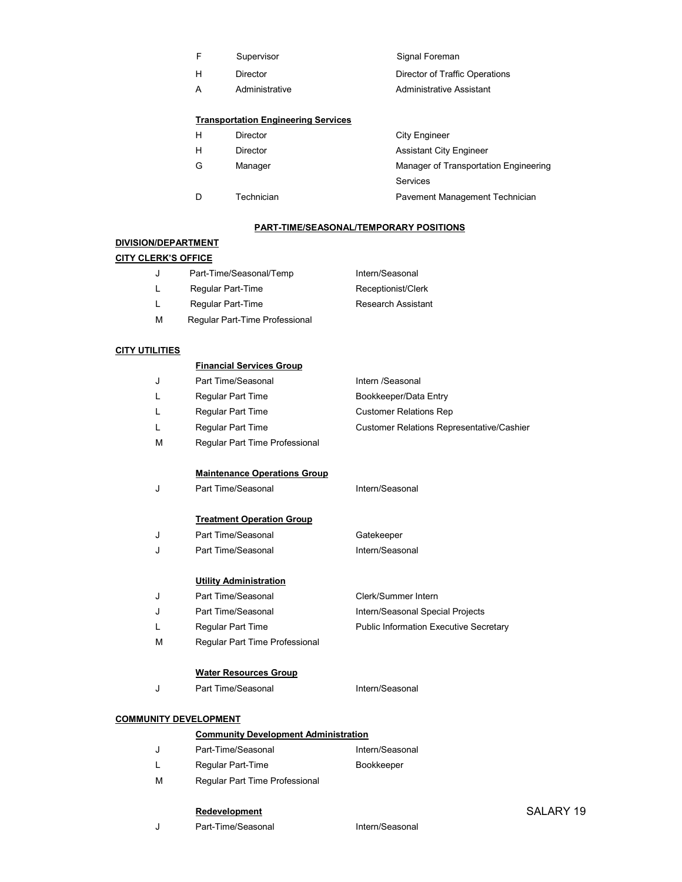- F Supervisor Supervisor Signal Foreman
- 
- 

#### Transportation Engineering Services

- H Director **City Engineer**
- - -
	-

- H Director Director Director of Traffic Operations
- A Administrative Administrative Assistant
	-

H Director **Assistant City Engineer** G Manager Manager of Transportation Engineering Services D Technician **Pavement Management Technician** 

#### PART-TIME/SEASONAL/TEMPORARY POSITIONS

#### DIVISION/DEPARTMENT

#### CITY CLERK'S OFFICE

- J Part-Time/Seasonal/Temp Intern/Seasonal L Regular Part-Time Receptionist/Clerk
- L Regular Part-Time Research Assistant
- M Regular Part-Time Professional

#### **CITY UTILITIES**

| <b>Financial Services Group</b> |
|---------------------------------|
|                                 |

|  | Part Time/Seasonal | Intern /Seasonal              |
|--|--------------------|-------------------------------|
|  | Regular Part Time  | Bookkeeper/Data Entry         |
|  | Regular Part Time  | <b>Customer Relations Rep</b> |

- L Regular Part Time Customer Relations Representative/Cashier
- M Regular Part Time Professional

#### Maintenance Operations Group

J Part Time/Seasonal Intern/Seasonal

#### **Treatment Operation Group**

| Part Time/Seasonal | Gatekeeper      |
|--------------------|-----------------|
| Part Time/Seasonal | Intern/Seasonal |

#### Utility Administration

- J Part Time/Seasonal Clerk/Summer Intern J Part Time/Seasonal Intern/Seasonal Special Projects
- L Regular Part Time **Public Information Executive Secretary**
- M Regular Part Time Professional

#### Water Resources Group

J Part Time/Seasonal **Intern/Seasonal** 

#### COMMUNITY DEVELOPMENT

| <b>Community Development Administration</b> |                 |  |
|---------------------------------------------|-----------------|--|
| Part-Time/Seasonal                          | Intern/Seasonal |  |

- L Regular Part-Time Bookkeeper
- M Regular Part Time Professional

#### Redevelopment

J Part-Time/Seasonal Intern/Seasonal

#### SALARY 19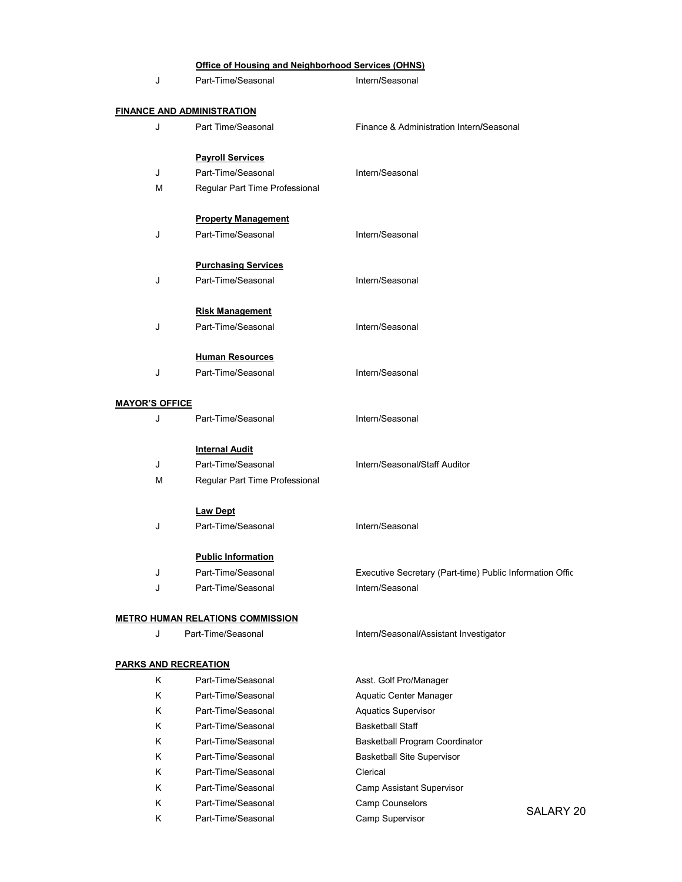|                             | Office of Housing and Neighborhood Services (OHNS) |                                                          |
|-----------------------------|----------------------------------------------------|----------------------------------------------------------|
| J                           | Part-Time/Seasonal                                 | Intern/Seasonal                                          |
|                             | <u>FINANCE AND ADMINISTRATION</u>                  |                                                          |
| J                           | Part Time/Seasonal                                 | Finance & Administration Intern/Seasonal                 |
|                             |                                                    |                                                          |
|                             | <b>Payroll Services</b>                            |                                                          |
| J                           | Part-Time/Seasonal                                 | Intern/Seasonal                                          |
| М                           | Regular Part Time Professional                     |                                                          |
|                             | <b>Property Management</b>                         |                                                          |
| J                           | Part-Time/Seasonal                                 | Intern/Seasonal                                          |
|                             | <b>Purchasing Services</b>                         |                                                          |
| J                           | Part-Time/Seasonal                                 | Intern/Seasonal                                          |
|                             |                                                    |                                                          |
|                             | <b>Risk Management</b>                             |                                                          |
| J                           | Part-Time/Seasonal                                 | Intern/Seasonal                                          |
|                             | <b>Human Resources</b>                             |                                                          |
| J                           | Part-Time/Seasonal                                 | Intern/Seasonal                                          |
|                             |                                                    |                                                          |
| <b>MAYOR'S OFFICE</b>       |                                                    |                                                          |
| J                           | Part-Time/Seasonal                                 | Intern/Seasonal                                          |
|                             |                                                    |                                                          |
|                             | <b>Internal Audit</b>                              |                                                          |
| J                           | Part-Time/Seasonal                                 | Intern/Seasonal/Staff Auditor                            |
| м                           | Regular Part Time Professional                     |                                                          |
|                             | <b>Law Dept</b>                                    |                                                          |
| J                           | Part-Time/Seasonal                                 | Intern/Seasonal                                          |
|                             | <b>Public Information</b>                          |                                                          |
| J                           | Part-Time/Seasonal                                 | Executive Secretary (Part-time) Public Information Offic |
| J                           | Part-Time/Seasonal                                 | Intern/Seasonal                                          |
|                             |                                                    |                                                          |
|                             | <b>METRO HUMAN RELATIONS COMMISSION</b>            |                                                          |
| J                           | Part-Time/Seasonal                                 | Intern/Seasonal/Assistant Investigator                   |
| <b>PARKS AND RECREATION</b> |                                                    |                                                          |
| Κ                           | Part-Time/Seasonal                                 | Asst. Golf Pro/Manager                                   |
| Κ                           | Part-Time/Seasonal                                 | Aquatic Center Manager                                   |
| Κ                           | Part-Time/Seasonal                                 | <b>Aquatics Supervisor</b>                               |
| Κ                           | Part-Time/Seasonal                                 | <b>Basketball Staff</b>                                  |
| Κ                           | Part-Time/Seasonal                                 | Basketball Program Coordinator                           |
| Κ                           | Part-Time/Seasonal                                 | <b>Basketball Site Supervisor</b>                        |
| Κ                           | Part-Time/Seasonal                                 | Clerical                                                 |

K Part-Time/Seasonal Camp Counselors

K Part-Time/Seasonal Camp Assistant Supervisor

- K Part-Time/Seasonal Camp Counselors<br>K Part-Time/Seasonal Camp Supervisor SALARY 20
	-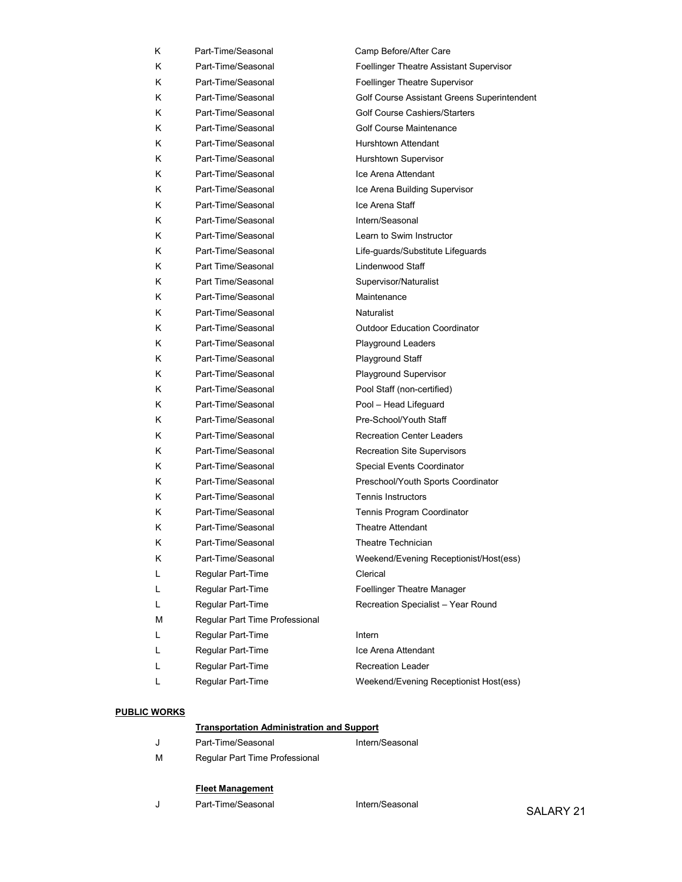| Κ | Part-Time/Seasonal             | Camp Before/After Care                      |
|---|--------------------------------|---------------------------------------------|
| K | Part-Time/Seasonal             | Foellinger Theatre Assistant Supervisor     |
| K | Part-Time/Seasonal             | Foellinger Theatre Supervisor               |
| Κ | Part-Time/Seasonal             | Golf Course Assistant Greens Superintendent |
| K | Part-Time/Seasonal             | <b>Golf Course Cashiers/Starters</b>        |
| K | Part-Time/Seasonal             | <b>Golf Course Maintenance</b>              |
| K | Part-Time/Seasonal             | Hurshtown Attendant                         |
| K | Part-Time/Seasonal             | Hurshtown Supervisor                        |
| Κ | Part-Time/Seasonal             | Ice Arena Attendant                         |
| K | Part-Time/Seasonal             | Ice Arena Building Supervisor               |
| K | Part-Time/Seasonal             | Ice Arena Staff                             |
| K | Part-Time/Seasonal             | Intern/Seasonal                             |
| K | Part-Time/Seasonal             | Learn to Swim Instructor                    |
| Κ | Part-Time/Seasonal             | Life-guards/Substitute Lifeguards           |
| ĸ | Part Time/Seasonal             | Lindenwood Staff                            |
| K | Part Time/Seasonal             | Supervisor/Naturalist                       |
| K | Part-Time/Seasonal             | Maintenance                                 |
| K | Part-Time/Seasonal             | Naturalist                                  |
| Κ | Part-Time/Seasonal             | <b>Outdoor Education Coordinator</b>        |
| K | Part-Time/Seasonal             | Playground Leaders                          |
| K | Part-Time/Seasonal             | <b>Playground Staff</b>                     |
| Κ | Part-Time/Seasonal             | Playground Supervisor                       |
| K | Part-Time/Seasonal             | Pool Staff (non-certified)                  |
| Κ | Part-Time/Seasonal             | Pool - Head Lifeguard                       |
| K | Part-Time/Seasonal             | Pre-School/Youth Staff                      |
| Κ | Part-Time/Seasonal             | <b>Recreation Center Leaders</b>            |
| K | Part-Time/Seasonal             | <b>Recreation Site Supervisors</b>          |
| Κ | Part-Time/Seasonal             | Special Events Coordinator                  |
| Κ | Part-Time/Seasonal             | Preschool/Youth Sports Coordinator          |
| K | Part-Time/Seasonal             | <b>Tennis Instructors</b>                   |
| Κ | Part-Time/Seasonal             | Tennis Program Coordinator                  |
| Κ | Part-Time/Seasonal             | <b>Theatre Attendant</b>                    |
| Κ | Part-Time/Seasonal             | Theatre Technician                          |
| Κ | Part-Time/Seasonal             | Weekend/Evening Receptionist/Host(ess)      |
| L | Regular Part-Time              | Clerical                                    |
| Г | Regular Part-Time              | Foellinger Theatre Manager                  |
| Г | Regular Part-Time              | Recreation Specialist - Year Round          |
| M | Regular Part Time Professional |                                             |
| Г | Regular Part-Time              | Intern                                      |
| L | Regular Part-Time              | Ice Arena Attendant                         |
| L | Regular Part-Time              | <b>Recreation Leader</b>                    |
| Г | Regular Part-Time              | Weekend/Evening Receptionist Host(ess)      |

#### PUBLIC WORKS

|   | <b>Transportation Administration and Support</b> |                 |  |  |
|---|--------------------------------------------------|-----------------|--|--|
|   | Part-Time/Seasonal                               | Intern/Seasonal |  |  |
| м | Regular Part Time Professional                   |                 |  |  |

#### Fleet Management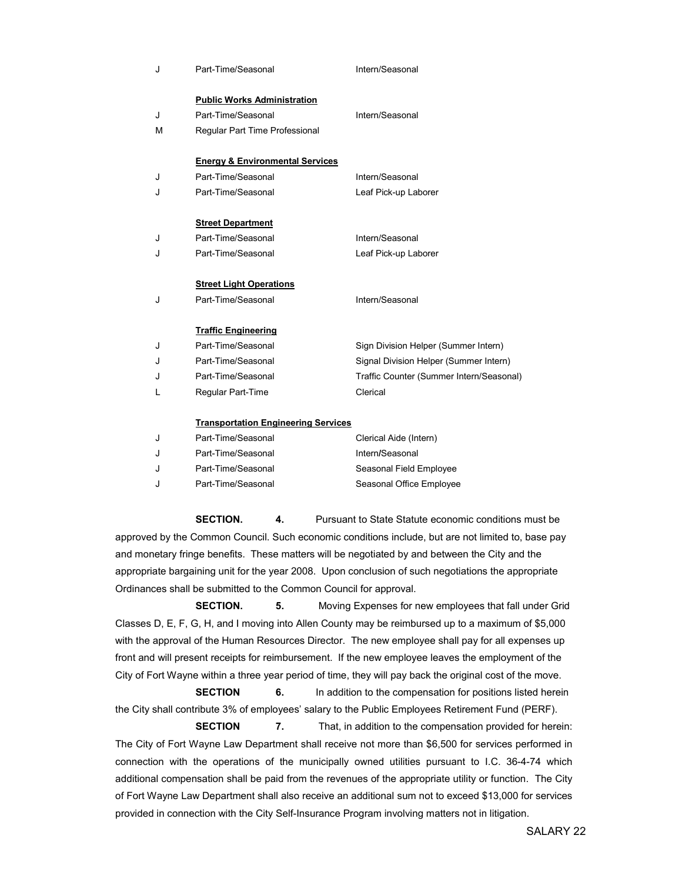| J | Part-Time/Seasonal                         | Intern/Seasonal                          |
|---|--------------------------------------------|------------------------------------------|
|   | <b>Public Works Administration</b>         |                                          |
| J | Part-Time/Seasonal                         | Intern/Seasonal                          |
| M | Regular Part Time Professional             |                                          |
|   | <b>Energy &amp; Environmental Services</b> |                                          |
| J | Part-Time/Seasonal                         | Intern/Seasonal                          |
| J | Part-Time/Seasonal                         | Leaf Pick-up Laborer                     |
|   |                                            |                                          |
|   | <b>Street Department</b>                   |                                          |
| J | Part-Time/Seasonal                         | Intern/Seasonal                          |
| J | Part-Time/Seasonal                         | Leaf Pick-up Laborer                     |
|   |                                            |                                          |
|   | <b>Street Light Operations</b>             |                                          |
| J | Part-Time/Seasonal                         | Intern/Seasonal                          |
|   |                                            |                                          |
|   | <b>Traffic Engineering</b>                 |                                          |
| J | Part-Time/Seasonal                         | Sign Division Helper (Summer Intern)     |
| J | Part-Time/Seasonal                         | Signal Division Helper (Summer Intern)   |
| J | Part-Time/Seasonal                         | Traffic Counter (Summer Intern/Seasonal) |
| L | Regular Part-Time                          | Clerical                                 |
|   |                                            |                                          |
|   | <b>Transportation Engineering Services</b> |                                          |
| J | Part-Time/Seasonal                         | Clerical Aide (Intern)                   |
| J | Part-Time/Seasonal                         | Intern/Seasonal                          |
| J | Part-Time/Seasonal                         | Seasonal Field Employee                  |

SECTION. 4. Pursuant to State Statute economic conditions must be approved by the Common Council. Such economic conditions include, but are not limited to, base pay and monetary fringe benefits. These matters will be negotiated by and between the City and the appropriate bargaining unit for the year 2008. Upon conclusion of such negotiations the appropriate Ordinances shall be submitted to the Common Council for approval.

J Part-Time/Seasonal Seasonal Seasonal Office Employee

SECTION. 5. Moving Expenses for new employees that fall under Grid Classes D, E, F, G, H, and I moving into Allen County may be reimbursed up to a maximum of \$5,000 with the approval of the Human Resources Director. The new employee shall pay for all expenses up front and will present receipts for reimbursement. If the new employee leaves the employment of the City of Fort Wayne within a three year period of time, they will pay back the original cost of the move.

SECTION 6. In addition to the compensation for positions listed herein the City shall contribute 3% of employees' salary to the Public Employees Retirement Fund (PERF).

**SECTION** 7. That, in addition to the compensation provided for herein: The City of Fort Wayne Law Department shall receive not more than \$6,500 for services performed in connection with the operations of the municipally owned utilities pursuant to I.C. 36-4-74 which additional compensation shall be paid from the revenues of the appropriate utility or function. The City of Fort Wayne Law Department shall also receive an additional sum not to exceed \$13,000 for services provided in connection with the City Self-Insurance Program involving matters not in litigation.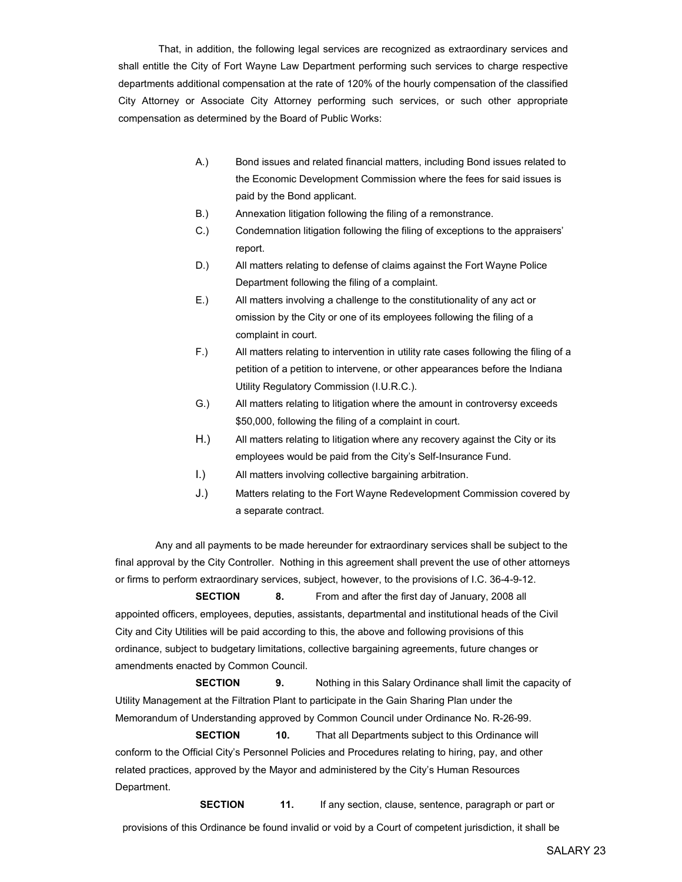That, in addition, the following legal services are recognized as extraordinary services and shall entitle the City of Fort Wayne Law Department performing such services to charge respective departments additional compensation at the rate of 120% of the hourly compensation of the classified City Attorney or Associate City Attorney performing such services, or such other appropriate compensation as determined by the Board of Public Works:

- A.) Bond issues and related financial matters, including Bond issues related to the Economic Development Commission where the fees for said issues is paid by the Bond applicant.
- B.) Annexation litigation following the filing of a remonstrance.
- C.) Condemnation litigation following the filing of exceptions to the appraisers' report.
- D.) All matters relating to defense of claims against the Fort Wayne Police Department following the filing of a complaint.
- E.) All matters involving a challenge to the constitutionality of any act or omission by the City or one of its employees following the filing of a complaint in court.
- F.) All matters relating to intervention in utility rate cases following the filing of a petition of a petition to intervene, or other appearances before the Indiana Utility Regulatory Commission (I.U.R.C.).
- G.) All matters relating to litigation where the amount in controversy exceeds \$50,000, following the filing of a complaint in court.
- H.) All matters relating to litigation where any recovery against the City or its employees would be paid from the City's Self-Insurance Fund.
- I.) All matters involving collective bargaining arbitration.
- J.) Matters relating to the Fort Wayne Redevelopment Commission covered by a separate contract.

 Any and all payments to be made hereunder for extraordinary services shall be subject to the final approval by the City Controller. Nothing in this agreement shall prevent the use of other attorneys or firms to perform extraordinary services, subject, however, to the provisions of I.C. 36-4-9-12.

**SECTION** 8. From and after the first day of January, 2008 all appointed officers, employees, deputies, assistants, departmental and institutional heads of the Civil City and City Utilities will be paid according to this, the above and following provisions of this ordinance, subject to budgetary limitations, collective bargaining agreements, future changes or amendments enacted by Common Council.

**SECTION** 9. Nothing in this Salary Ordinance shall limit the capacity of Utility Management at the Filtration Plant to participate in the Gain Sharing Plan under the Memorandum of Understanding approved by Common Council under Ordinance No. R-26-99. **SECTION** 10. That all Departments subject to this Ordinance will

conform to the Official City's Personnel Policies and Procedures relating to hiring, pay, and other related practices, approved by the Mayor and administered by the City's Human Resources Department.

**SECTION** 11. If any section, clause, sentence, paragraph or part or provisions of this Ordinance be found invalid or void by a Court of competent jurisdiction, it shall be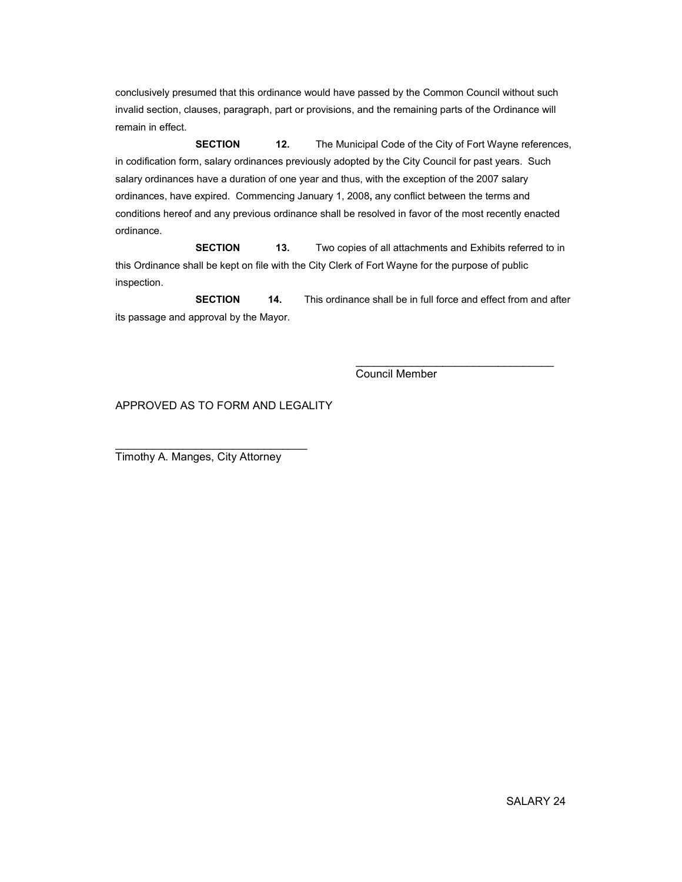conclusively presumed that this ordinance would have passed by the Common Council without such invalid section, clauses, paragraph, part or provisions, and the remaining parts of the Ordinance will remain in effect.

**SECTION** 12. The Municipal Code of the City of Fort Wayne references, in codification form, salary ordinances previously adopted by the City Council for past years. Such salary ordinances have a duration of one year and thus, with the exception of the 2007 salary ordinances, have expired. Commencing January 1, 2008, any conflict between the terms and conditions hereof and any previous ordinance shall be resolved in favor of the most recently enacted ordinance.

SECTION 13. Two copies of all attachments and Exhibits referred to in this Ordinance shall be kept on file with the City Clerk of Fort Wayne for the purpose of public inspection.

**SECTION** 14. This ordinance shall be in full force and effect from and after its passage and approval by the Mayor.

 $\frac{1}{\sqrt{2}}$  ,  $\frac{1}{\sqrt{2}}$  ,  $\frac{1}{\sqrt{2}}$  ,  $\frac{1}{\sqrt{2}}$  ,  $\frac{1}{\sqrt{2}}$  ,  $\frac{1}{\sqrt{2}}$  ,  $\frac{1}{\sqrt{2}}$  ,  $\frac{1}{\sqrt{2}}$  ,  $\frac{1}{\sqrt{2}}$  ,  $\frac{1}{\sqrt{2}}$  ,  $\frac{1}{\sqrt{2}}$  ,  $\frac{1}{\sqrt{2}}$  ,  $\frac{1}{\sqrt{2}}$  ,  $\frac{1}{\sqrt{2}}$  ,  $\frac{1}{\sqrt{2}}$ 

Council Member

APPROVED AS TO FORM AND LEGALITY

Timothy A. Manges, City Attorney

\_\_\_\_\_\_\_\_\_\_\_\_\_\_\_\_\_\_\_\_\_\_\_\_\_\_\_\_\_\_\_